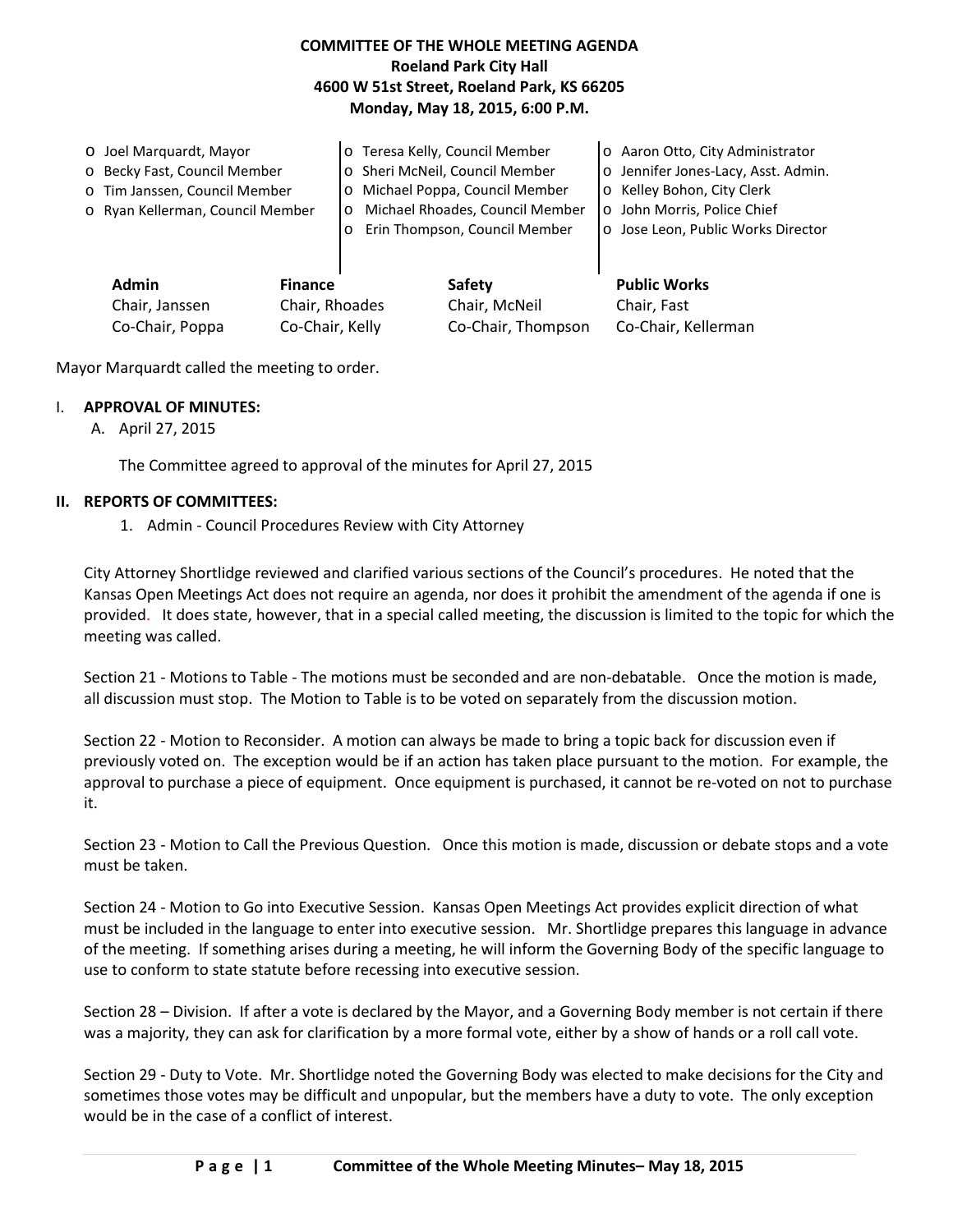## **COMMITTEE OF THE WHOLE MEETING AGENDA Roeland Park City Hall 4600 W 51st Street, Roeland Park, KS 66205 Monday, May 18, 2015, 6:00 P.M.**

|  | O Joel Marquardt, Mayor<br>o Becky Fast, Council Member<br>o Tim Janssen, Council Member |  | o Teresa Kelly, Council Member<br>o Sheri McNeil, Council Member<br>o Michael Poppa, Council Member |               |                                    | o Aaron Otto, City Administrator<br>o Jennifer Jones-Lacy, Asst. Admin.<br>o Kelley Bohon, City Clerk |  |
|--|------------------------------------------------------------------------------------------|--|-----------------------------------------------------------------------------------------------------|---------------|------------------------------------|-------------------------------------------------------------------------------------------------------|--|
|  |                                                                                          |  | Michael Rhoades, Council Member                                                                     |               |                                    | o John Morris, Police Chief                                                                           |  |
|  | o Ryan Kellerman, Council Member                                                         |  | $\circ$<br>Erin Thompson, Council Member<br>$\circ$                                                 |               | o Jose Leon, Public Works Director |                                                                                                       |  |
|  |                                                                                          |  |                                                                                                     |               |                                    |                                                                                                       |  |
|  | <b>Admin</b><br><b>Finance</b><br>Chair, Rhoades<br>Chair, Janssen                       |  |                                                                                                     | Safety        |                                    | <b>Public Works</b>                                                                                   |  |
|  |                                                                                          |  |                                                                                                     | Chair, McNeil |                                    | Chair, Fast                                                                                           |  |

Co-Chair, Poppa Co-Chair, Kelly Co-Chair, Thompson Co-Chair, Kellerman

Mayor Marquardt called the meeting to order.

## I. **APPROVAL OF MINUTES:**

A. April 27, 2015

The Committee agreed to approval of the minutes for April 27, 2015

## **II. REPORTS OF COMMITTEES:**

1. Admin - Council Procedures Review with City Attorney

City Attorney Shortlidge reviewed and clarified various sections of the Council's procedures. He noted that the Kansas Open Meetings Act does not require an agenda, nor does it prohibit the amendment of the agenda if one is provided. It does state, however, that in a special called meeting, the discussion is limited to the topic for which the meeting was called.

Section 21 - Motions to Table - The motions must be seconded and are non-debatable. Once the motion is made, all discussion must stop. The Motion to Table is to be voted on separately from the discussion motion.

Section 22 - Motion to Reconsider. A motion can always be made to bring a topic back for discussion even if previously voted on. The exception would be if an action has taken place pursuant to the motion. For example, the approval to purchase a piece of equipment. Once equipment is purchased, it cannot be re-voted on not to purchase it.

Section 23 - Motion to Call the Previous Question. Once this motion is made, discussion or debate stops and a vote must be taken.

Section 24 - Motion to Go into Executive Session. Kansas Open Meetings Act provides explicit direction of what must be included in the language to enter into executive session. Mr. Shortlidge prepares this language in advance of the meeting. If something arises during a meeting, he will inform the Governing Body of the specific language to use to conform to state statute before recessing into executive session.

Section 28 – Division. If after a vote is declared by the Mayor, and a Governing Body member is not certain if there was a majority, they can ask for clarification by a more formal vote, either by a show of hands or a roll call vote.

Section 29 - Duty to Vote. Mr. Shortlidge noted the Governing Body was elected to make decisions for the City and sometimes those votes may be difficult and unpopular, but the members have a duty to vote. The only exception would be in the case of a conflict of interest.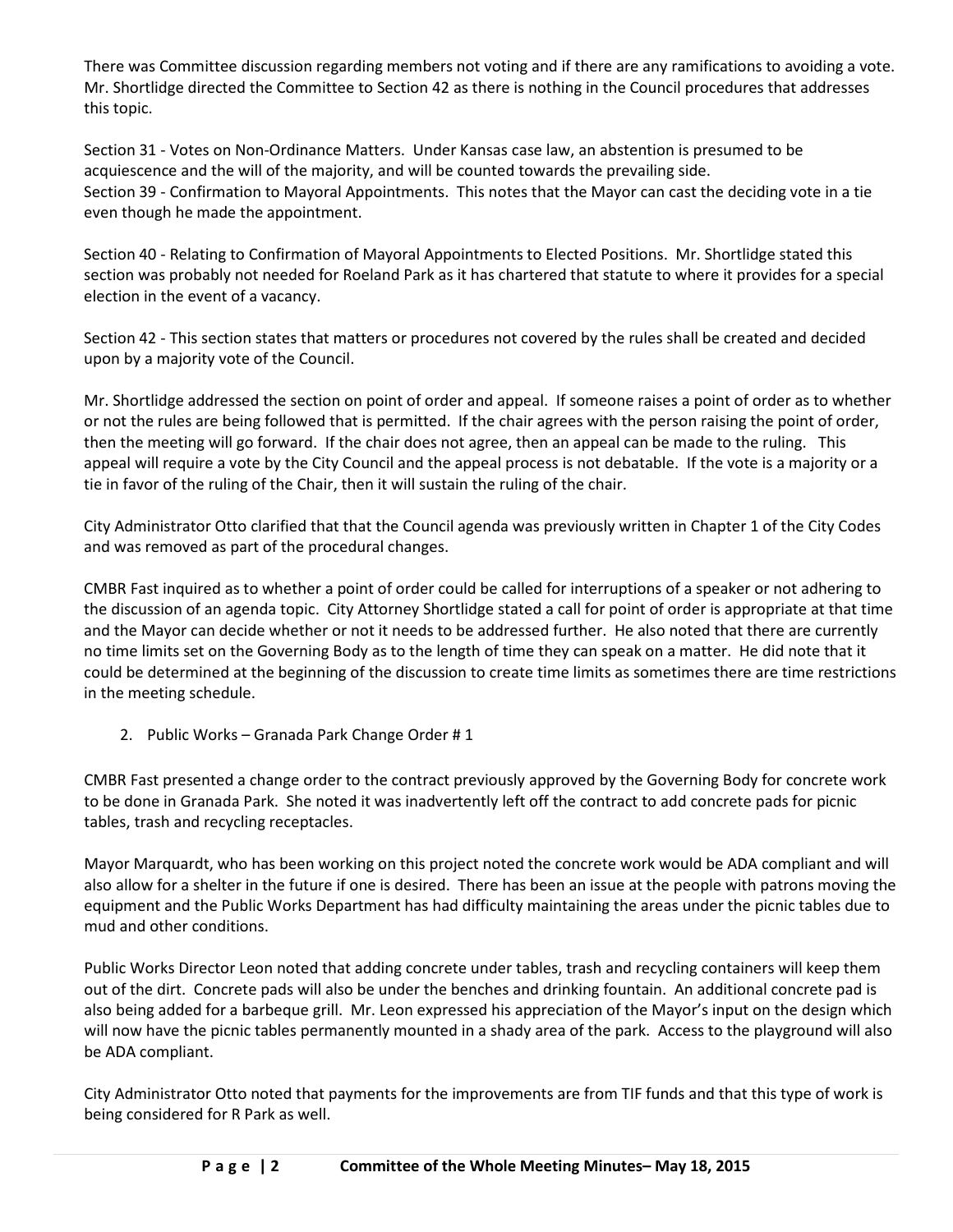There was Committee discussion regarding members not voting and if there are any ramifications to avoiding a vote. Mr. Shortlidge directed the Committee to Section 42 as there is nothing in the Council procedures that addresses this topic.

Section 31 - Votes on Non-Ordinance Matters. Under Kansas case law, an abstention is presumed to be acquiescence and the will of the majority, and will be counted towards the prevailing side. Section 39 - Confirmation to Mayoral Appointments. This notes that the Mayor can cast the deciding vote in a tie even though he made the appointment.

Section 40 - Relating to Confirmation of Mayoral Appointments to Elected Positions. Mr. Shortlidge stated this section was probably not needed for Roeland Park as it has chartered that statute to where it provides for a special election in the event of a vacancy.

Section 42 - This section states that matters or procedures not covered by the rules shall be created and decided upon by a majority vote of the Council.

Mr. Shortlidge addressed the section on point of order and appeal. If someone raises a point of order as to whether or not the rules are being followed that is permitted. If the chair agrees with the person raising the point of order, then the meeting will go forward. If the chair does not agree, then an appeal can be made to the ruling. This appeal will require a vote by the City Council and the appeal process is not debatable. If the vote is a majority or a tie in favor of the ruling of the Chair, then it will sustain the ruling of the chair.

City Administrator Otto clarified that that the Council agenda was previously written in Chapter 1 of the City Codes and was removed as part of the procedural changes.

CMBR Fast inquired as to whether a point of order could be called for interruptions of a speaker or not adhering to the discussion of an agenda topic. City Attorney Shortlidge stated a call for point of order is appropriate at that time and the Mayor can decide whether or not it needs to be addressed further. He also noted that there are currently no time limits set on the Governing Body as to the length of time they can speak on a matter. He did note that it could be determined at the beginning of the discussion to create time limits as sometimes there are time restrictions in the meeting schedule.

2. Public Works – Granada Park Change Order # 1

CMBR Fast presented a change order to the contract previously approved by the Governing Body for concrete work to be done in Granada Park. She noted it was inadvertently left off the contract to add concrete pads for picnic tables, trash and recycling receptacles.

Mayor Marquardt, who has been working on this project noted the concrete work would be ADA compliant and will also allow for a shelter in the future if one is desired. There has been an issue at the people with patrons moving the equipment and the Public Works Department has had difficulty maintaining the areas under the picnic tables due to mud and other conditions.

Public Works Director Leon noted that adding concrete under tables, trash and recycling containers will keep them out of the dirt. Concrete pads will also be under the benches and drinking fountain. An additional concrete pad is also being added for a barbeque grill. Mr. Leon expressed his appreciation of the Mayor's input on the design which will now have the picnic tables permanently mounted in a shady area of the park. Access to the playground will also be ADA compliant.

City Administrator Otto noted that payments for the improvements are from TIF funds and that this type of work is being considered for R Park as well.